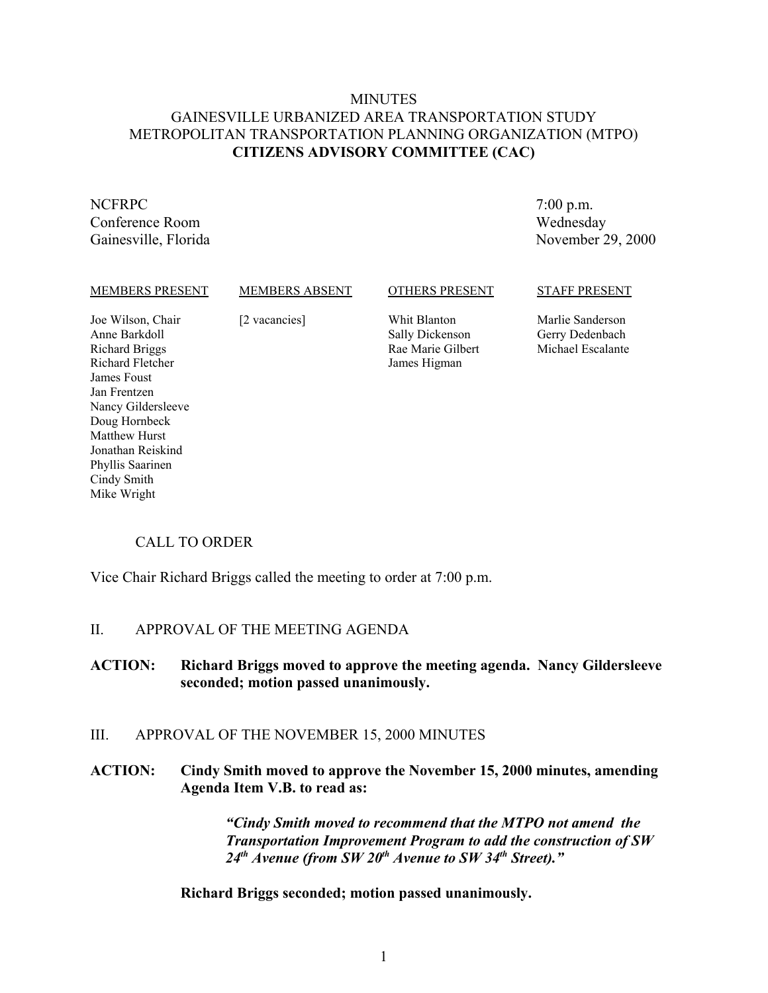## MINUTES GAINESVILLE URBANIZED AREA TRANSPORTATION STUDY METROPOLITAN TRANSPORTATION PLANNING ORGANIZATION (MTPO) **CITIZENS ADVISORY COMMITTEE (CAC)**

# NCFRPC

Matthew Hurst Jonathan Reiskind Phyllis Saarinen Cindy Smith Mike Wright

Conference Room Gainesville, Florida

7:00 p.m. Wednesday November 29, 2000

#### MEMBERS PRESENT Joe Wilson, Chair Anne Barkdoll Richard Briggs Richard Fletcher James Foust Jan Frentzen Nancy Gildersleeve Doug Hornbeck MEMBERS ABSENT [2 vacancies] OTHERS PRESENT Whit Blanton Sally Dickenson Rae Marie Gilbert James Higman STAFF PRESENT Marlie Sanderson Gerry Dedenbach Michael Escalante

## CALL TO ORDER

Vice Chair Richard Briggs called the meeting to order at 7:00 p.m.

#### II. APPROVAL OF THE MEETING AGENDA

#### **ACTION: Richard Briggs moved to approve the meeting agenda. Nancy Gildersleeve seconded; motion passed unanimously.**

## III. APPROVAL OF THE NOVEMBER 15, 2000 MINUTES

## **ACTION: Cindy Smith moved to approve the November 15, 2000 minutes, amending Agenda Item V.B. to read as:**

*"Cindy Smith moved to recommend that the MTPO not amend the Transportation Improvement Program to add the construction of SW 24th Avenue (from SW 20th Avenue to SW 34th Street)."*

**Richard Briggs seconded; motion passed unanimously.**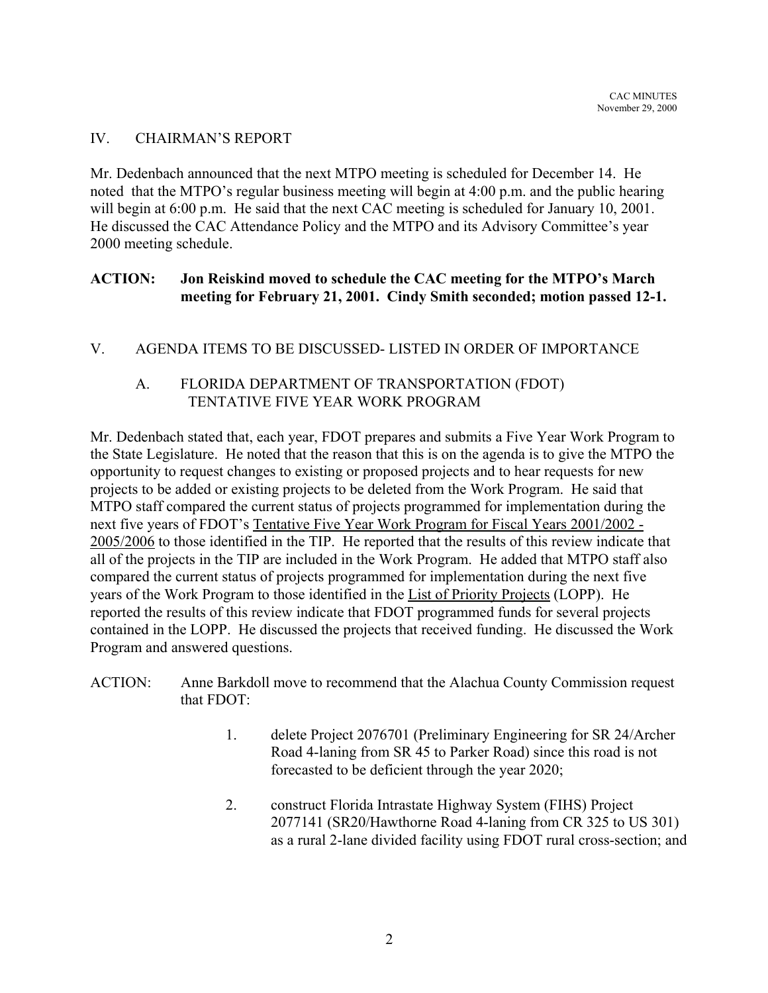## IV. CHAIRMAN'S REPORT

Mr. Dedenbach announced that the next MTPO meeting is scheduled for December 14. He noted that the MTPO's regular business meeting will begin at 4:00 p.m. and the public hearing will begin at 6:00 p.m. He said that the next CAC meeting is scheduled for January 10, 2001. He discussed the CAC Attendance Policy and the MTPO and its Advisory Committee's year 2000 meeting schedule.

## **ACTION: Jon Reiskind moved to schedule the CAC meeting for the MTPO's March meeting for February 21, 2001. Cindy Smith seconded; motion passed 12-1.**

## V. AGENDA ITEMS TO BE DISCUSSED- LISTED IN ORDER OF IMPORTANCE

## A. FLORIDA DEPARTMENT OF TRANSPORTATION (FDOT) TENTATIVE FIVE YEAR WORK PROGRAM

Mr. Dedenbach stated that, each year, FDOT prepares and submits a Five Year Work Program to the State Legislature. He noted that the reason that this is on the agenda is to give the MTPO the opportunity to request changes to existing or proposed projects and to hear requests for new projects to be added or existing projects to be deleted from the Work Program. He said that MTPO staff compared the current status of projects programmed for implementation during the next five years of FDOT's Tentative Five Year Work Program for Fiscal Years 2001/2002 - 2005/2006 to those identified in the TIP. He reported that the results of this review indicate that all of the projects in the TIP are included in the Work Program. He added that MTPO staff also compared the current status of projects programmed for implementation during the next five years of the Work Program to those identified in the List of Priority Projects (LOPP). He reported the results of this review indicate that FDOT programmed funds for several projects contained in the LOPP. He discussed the projects that received funding. He discussed the Work Program and answered questions.

- ACTION: Anne Barkdoll move to recommend that the Alachua County Commission request that FDOT:
	- 1. delete Project 2076701 (Preliminary Engineering for SR 24/Archer Road 4-laning from SR 45 to Parker Road) since this road is not forecasted to be deficient through the year 2020;
	- 2. construct Florida Intrastate Highway System (FIHS) Project 2077141 (SR20/Hawthorne Road 4-laning from CR 325 to US 301) as a rural 2-lane divided facility using FDOT rural cross-section; and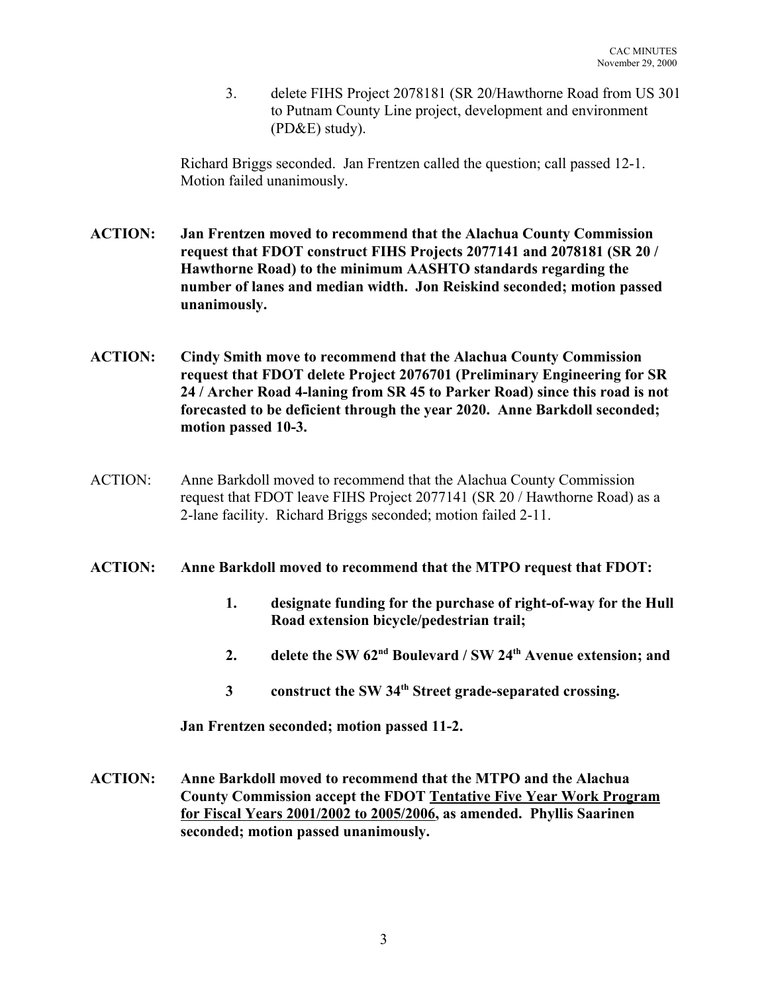3. delete FIHS Project 2078181 (SR 20/Hawthorne Road from US 301 to Putnam County Line project, development and environment (PD&E) study).

Richard Briggs seconded. Jan Frentzen called the question; call passed 12-1. Motion failed unanimously.

- **ACTION: Jan Frentzen moved to recommend that the Alachua County Commission request that FDOT construct FIHS Projects 2077141 and 2078181 (SR 20 / Hawthorne Road) to the minimum AASHTO standards regarding the number of lanes and median width. Jon Reiskind seconded; motion passed unanimously.**
- **ACTION: Cindy Smith move to recommend that the Alachua County Commission request that FDOT delete Project 2076701 (Preliminary Engineering for SR 24 / Archer Road 4-laning from SR 45 to Parker Road) since this road is not forecasted to be deficient through the year 2020. Anne Barkdoll seconded; motion passed 10-3.**
- ACTION: Anne Barkdoll moved to recommend that the Alachua County Commission request that FDOT leave FIHS Project 2077141 (SR 20 / Hawthorne Road) as a 2-lane facility. Richard Briggs seconded; motion failed 2-11.

## **ACTION: Anne Barkdoll moved to recommend that the MTPO request that FDOT:**

- **1. designate funding for the purchase of right-of-way for the Hull Road extension bicycle/pedestrian trail;**
- **2. delete the SW 62nd Boulevard / SW 24th Avenue extension; and**
- **3 construct the SW 34th Street grade-separated crossing.**

**Jan Frentzen seconded; motion passed 11-2.**

**ACTION: Anne Barkdoll moved to recommend that the MTPO and the Alachua County Commission accept the FDOT Tentative Five Year Work Program for Fiscal Years 2001/2002 to 2005/2006, as amended. Phyllis Saarinen seconded; motion passed unanimously.**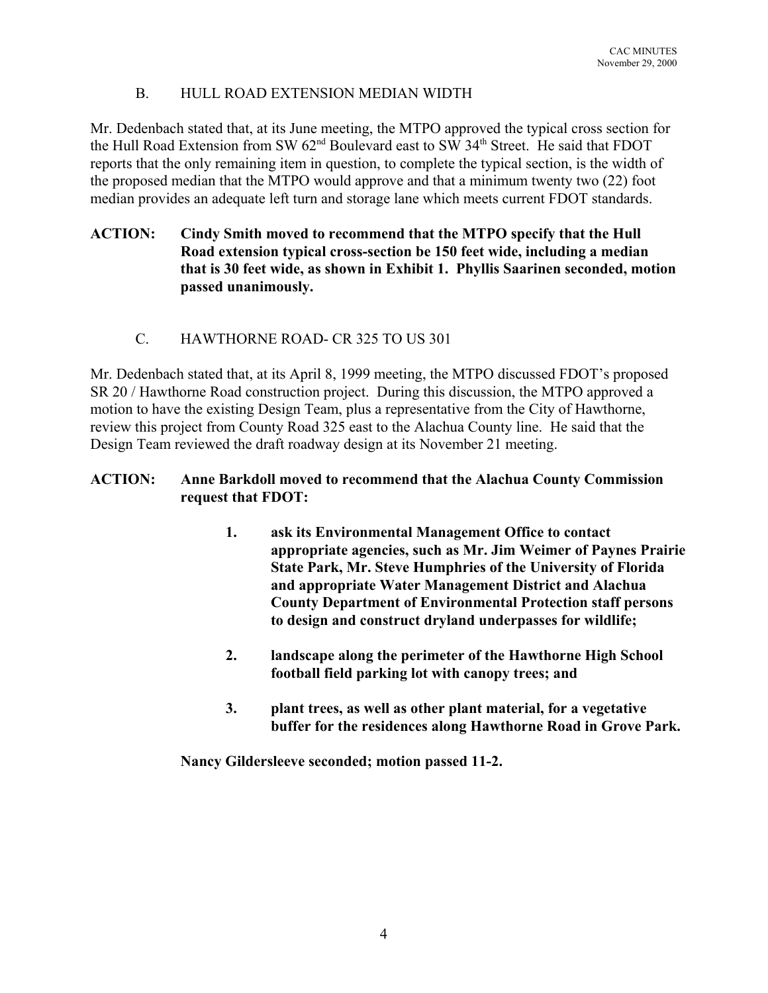## B. HULL ROAD EXTENSION MEDIAN WIDTH

Mr. Dedenbach stated that, at its June meeting, the MTPO approved the typical cross section for the Hull Road Extension from SW 62<sup>nd</sup> Boulevard east to SW 34<sup>th</sup> Street. He said that FDOT reports that the only remaining item in question, to complete the typical section, is the width of the proposed median that the MTPO would approve and that a minimum twenty two (22) foot median provides an adequate left turn and storage lane which meets current FDOT standards.

## **ACTION: Cindy Smith moved to recommend that the MTPO specify that the Hull Road extension typical cross-section be 150 feet wide, including a median that is 30 feet wide, as shown in Exhibit 1. Phyllis Saarinen seconded, motion passed unanimously.**

C. HAWTHORNE ROAD- CR 325 TO US 301

Mr. Dedenbach stated that, at its April 8, 1999 meeting, the MTPO discussed FDOT's proposed SR 20 / Hawthorne Road construction project. During this discussion, the MTPO approved a motion to have the existing Design Team, plus a representative from the City of Hawthorne, review this project from County Road 325 east to the Alachua County line. He said that the Design Team reviewed the draft roadway design at its November 21 meeting.

## **ACTION: Anne Barkdoll moved to recommend that the Alachua County Commission request that FDOT:**

- **1. ask its Environmental Management Office to contact appropriate agencies, such as Mr. Jim Weimer of Paynes Prairie State Park, Mr. Steve Humphries of the University of Florida and appropriate Water Management District and Alachua County Department of Environmental Protection staff persons to design and construct dryland underpasses for wildlife;**
- **2. landscape along the perimeter of the Hawthorne High School football field parking lot with canopy trees; and**
- **3. plant trees, as well as other plant material, for a vegetative buffer for the residences along Hawthorne Road in Grove Park.**

**Nancy Gildersleeve seconded; motion passed 11-2.**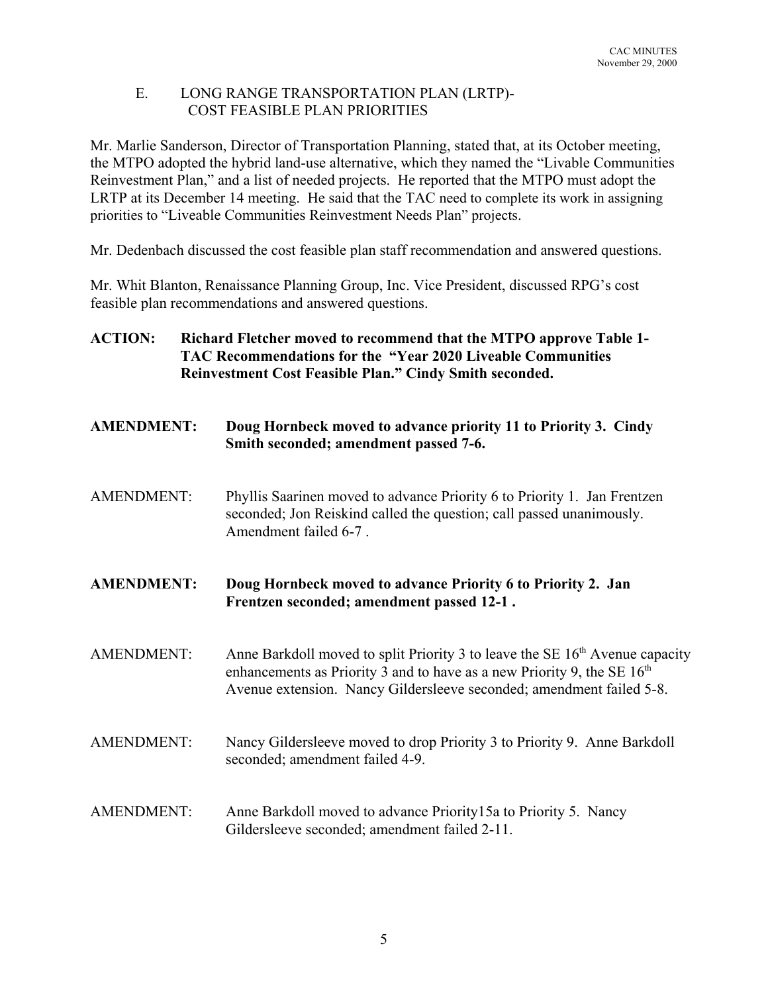## E. LONG RANGE TRANSPORTATION PLAN (LRTP)- COST FEASIBLE PLAN PRIORITIES

Mr. Marlie Sanderson, Director of Transportation Planning, stated that, at its October meeting, the MTPO adopted the hybrid land-use alternative, which they named the "Livable Communities Reinvestment Plan," and a list of needed projects. He reported that the MTPO must adopt the LRTP at its December 14 meeting. He said that the TAC need to complete its work in assigning priorities to "Liveable Communities Reinvestment Needs Plan" projects.

Mr. Dedenbach discussed the cost feasible plan staff recommendation and answered questions.

Mr. Whit Blanton, Renaissance Planning Group, Inc. Vice President, discussed RPG's cost feasible plan recommendations and answered questions.

- **ACTION: Richard Fletcher moved to recommend that the MTPO approve Table 1- TAC Recommendations for the "Year 2020 Liveable Communities Reinvestment Cost Feasible Plan." Cindy Smith seconded.**
- **AMENDMENT: Doug Hornbeck moved to advance priority 11 to Priority 3. Cindy Smith seconded; amendment passed 7-6.**
- AMENDMENT: Phyllis Saarinen moved to advance Priority 6 to Priority 1. Jan Frentzen seconded; Jon Reiskind called the question; call passed unanimously. Amendment failed 6-7 .

**AMENDMENT: Doug Hornbeck moved to advance Priority 6 to Priority 2. Jan Frentzen seconded; amendment passed 12-1 .**

- AMENDMENT: Anne Barkdoll moved to split Priority 3 to leave the SE  $16<sup>th</sup>$  Avenue capacity enhancements as Priority 3 and to have as a new Priority 9, the SE  $16<sup>th</sup>$ Avenue extension. Nancy Gildersleeve seconded; amendment failed 5-8.
- AMENDMENT: Nancy Gildersleeve moved to drop Priority 3 to Priority 9. Anne Barkdoll seconded; amendment failed 4-9.
- AMENDMENT: Anne Barkdoll moved to advance Priority15a to Priority 5. Nancy Gildersleeve seconded; amendment failed 2-11.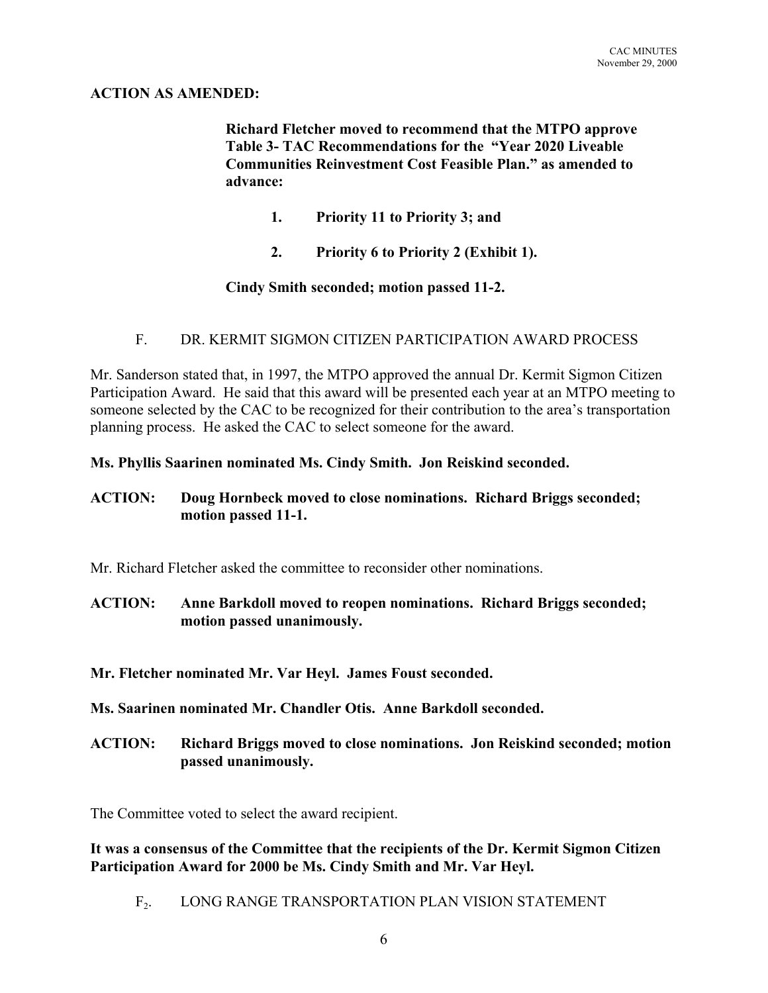## **ACTION AS AMENDED:**

**Richard Fletcher moved to recommend that the MTPO approve Table 3- TAC Recommendations for the "Year 2020 Liveable Communities Reinvestment Cost Feasible Plan." as amended to advance:**

- **1. Priority 11 to Priority 3; and**
- **2. Priority 6 to Priority 2 (Exhibit 1).**

## **Cindy Smith seconded; motion passed 11-2.**

## F. DR. KERMIT SIGMON CITIZEN PARTICIPATION AWARD PROCESS

Mr. Sanderson stated that, in 1997, the MTPO approved the annual Dr. Kermit Sigmon Citizen Participation Award. He said that this award will be presented each year at an MTPO meeting to someone selected by the CAC to be recognized for their contribution to the area's transportation planning process. He asked the CAC to select someone for the award.

**Ms. Phyllis Saarinen nominated Ms. Cindy Smith. Jon Reiskind seconded.**

### **ACTION: Doug Hornbeck moved to close nominations. Richard Briggs seconded; motion passed 11-1.**

Mr. Richard Fletcher asked the committee to reconsider other nominations.

- **ACTION: Anne Barkdoll moved to reopen nominations. Richard Briggs seconded; motion passed unanimously.**
- **Mr. Fletcher nominated Mr. Var Heyl. James Foust seconded.**
- **Ms. Saarinen nominated Mr. Chandler Otis. Anne Barkdoll seconded.**
- **ACTION: Richard Briggs moved to close nominations. Jon Reiskind seconded; motion passed unanimously.**

The Committee voted to select the award recipient.

**It was a consensus of the Committee that the recipients of the Dr. Kermit Sigmon Citizen Participation Award for 2000 be Ms. Cindy Smith and Mr. Var Heyl.**

F2. LONG RANGE TRANSPORTATION PLAN VISION STATEMENT